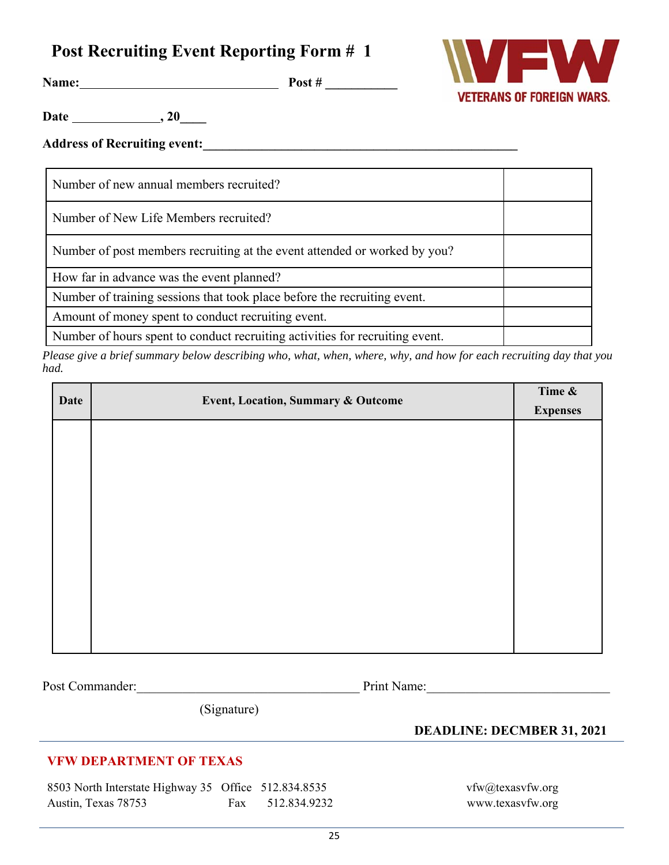# **Post Recruiting Event Reporting Form # 1**

**Name: Post # \_\_\_\_\_\_\_\_\_\_\_** 



**Date , 20\_\_\_\_** 

**Address of Recruiting event:\_\_\_\_\_\_\_\_\_\_\_\_\_\_\_\_\_\_\_\_\_\_\_\_\_\_\_\_\_\_\_\_\_\_\_\_\_\_\_\_\_\_\_\_\_\_\_\_** 

| Number of new annual members recruited?                                      |  |
|------------------------------------------------------------------------------|--|
| Number of New Life Members recruited?                                        |  |
| Number of post members recruiting at the event attended or worked by you?    |  |
| How far in advance was the event planned?                                    |  |
| Number of training sessions that took place before the recruiting event.     |  |
| Amount of money spent to conduct recruiting event.                           |  |
| Number of hours spent to conduct recruiting activities for recruiting event. |  |

*Please give a brief summary below describing who, what, when, where, why, and how for each recruiting day that you had.* 

| <b>Date</b> | Event, Location, Summary & Outcome | Time &          |
|-------------|------------------------------------|-----------------|
|             |                                    | <b>Expenses</b> |
|             |                                    |                 |
|             |                                    |                 |
|             |                                    |                 |
|             |                                    |                 |
|             |                                    |                 |
|             |                                    |                 |
|             |                                    |                 |
|             |                                    |                 |
|             |                                    |                 |
|             |                                    |                 |
|             |                                    |                 |
|             |                                    |                 |
|             |                                    |                 |

Post Commander:<br>
Print Name:

(Signature)

### **DEADLINE: DECMBER 31, 2021**

### **VFW DEPARTMENT OF TEXAS**

| 8503 North Interstate Highway 35 Office 512.834.8535 |     |              |
|------------------------------------------------------|-----|--------------|
| Austin, Texas 78753                                  | Fax | 512.834.9232 |

vfw@texasvfw.org www.texasvfw.org